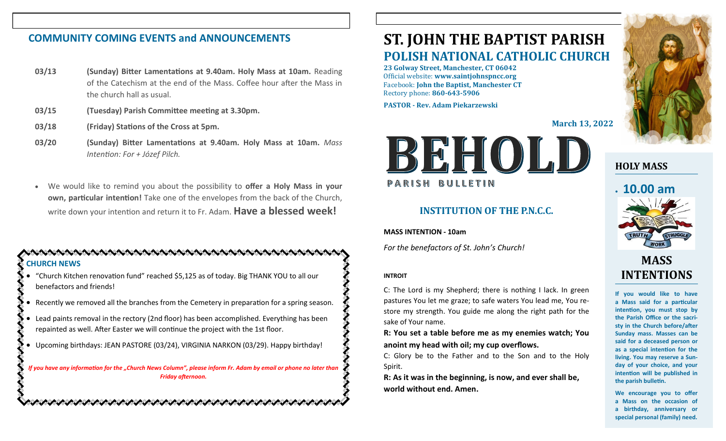### **COMMUNITY COMING EVENTS and ANNOUNCEMENTS**

- **03/13 (Sunday) Bitter Lamentations at 9.40am. Holy Mass at 10am.** Reading of the Catechism at the end of the Mass. Coffee hour after the Mass in the church hall as usual.
- **03/15 (Tuesday) Parish Committee meeting at 3.30pm.**
- **03/18 (Friday) Stations of the Cross at 5pm.**
- **03/20 (Sunday) Bitter Lamentations at 9.40am. Holy Mass at 10am.** *Mass Intention: For + Józef Pilch.*
- We would like to remind you about the possibility to **offer a Holy Mass in your own, particular intention!** Take one of the envelopes from the back of the Church, write down your intention and return it to Fr. Adam. **Have a blessed week!**

### **CHURCH NEWS**

• "Church Kitchen renovation fund" reached \$5,125 as of today. Big THANK YOU to all our benefactors and friends!

- Recently we removed all the branches from the Cemetery in preparation for a spring season.
- Lead paints removal in the rectory (2nd floor) has been accomplished. Everything has been repainted as well. After Easter we will continue the project with the 1st floor.
- Upcoming birthdays: JEAN PASTORE (03/24), VIRGINIA NARKON (03/29). Happy birthday!

**こうけいさいかいかいかいかいかいかいかいかいかいかい いいいかいかいかい** 

*If you have any information for the "Church News Column", please inform Fr. Adam by email or phone no later than Friday afternoon.*

# **ST. JOHN THE BAPTIST PARISH POLISH NATIONAL CATHOLIC CHURCH**

**23 Golway Street, Manchester, CT 06042** Official website: **www.saintjohnspncc.org** Facebook: **John the Baptist, Manchester CT** Rectory phone: **860-643-5906** 

**PASTOR - Rev. Adam Piekarzewski**

**March 13, 2022**



### **INSTITUTION OF THE P.N.C.C.**

**MASS INTENTION - 10am**

*For the benefactors of St. John's Church!*

### **INTROIT**

C: The Lord is my Shepherd; there is nothing I lack. In green pastures You let me graze; to safe waters You lead me, You restore my strength. You guide me along the right path for the sake of Your name.

**R: You set a table before me as my enemies watch; You anoint my head with oil; my cup overflows.**

C: Glory be to the Father and to the Son and to the Holy Spirit.

**R: As it was in the beginning, is now, and ever shall be, world without end. Amen.**



### **HOLY MASS**

# • **10.00 am**



# **MASS INTENTIONS**

**If you would like to have a Mass said for a particular intention, you must stop by the Parish Office or the sacristy in the Church before/after Sunday mass. Masses can be said for a deceased person or as a special intention for the living. You may reserve a Sunday of your choice, and your intention will be published in the parish bulletin.**

**We encourage you to offer a Mass on the occasion of a birthday, anniversary or special personal (family) need.**